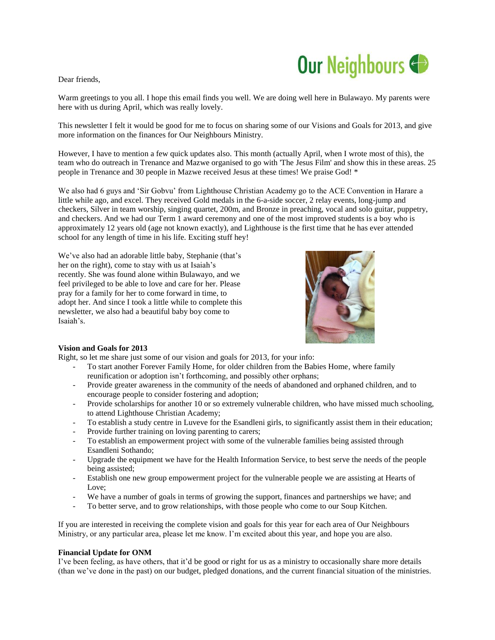## Our Neighbours

## Dear friends,

Warm greetings to you all. I hope this email finds you well. We are doing well here in Bulawayo. My parents were here with us during April, which was really lovely.

This newsletter I felt it would be good for me to focus on sharing some of our Visions and Goals for 2013, and give more information on the finances for Our Neighbours Ministry.

However, I have to mention a few quick updates also. This month (actually April, when I wrote most of this), the team who do outreach in Trenance and Mazwe organised to go with 'The Jesus Film' and show this in these areas. 25 people in Trenance and 30 people in Mazwe received Jesus at these times! We praise God! \*

We also had 6 guys and 'Sir Gobvu' from Lighthouse Christian Academy go to the ACE Convention in Harare a little while ago, and excel. They received Gold medals in the 6-a-side soccer, 2 relay events, long-jump and checkers, Silver in team worship, singing quartet, 200m, and Bronze in preaching, vocal and solo guitar, puppetry, and checkers. And we had our Term 1 award ceremony and one of the most improved students is a boy who is approximately 12 years old (age not known exactly), and Lighthouse is the first time that he has ever attended school for any length of time in his life. Exciting stuff hey!

We've also had an adorable little baby, Stephanie (that's her on the right), come to stay with us at Isaiah's recently. She was found alone within Bulawayo, and we feel privileged to be able to love and care for her. Please pray for a family for her to come forward in time, to adopt her. And since I took a little while to complete this newsletter, we also had a beautiful baby boy come to Isaiah's.



## **Vision and Goals for 2013**

Right, so let me share just some of our vision and goals for 2013, for your info:

- To start another Forever Family Home, for older children from the Babies Home, where family reunification or adoption isn't forthcoming, and possibly other orphans;
- Provide greater awareness in the community of the needs of abandoned and orphaned children, and to encourage people to consider fostering and adoption;
- Provide scholarships for another 10 or so extremely vulnerable children, who have missed much schooling, to attend Lighthouse Christian Academy;
- To establish a study centre in Luveve for the Esandleni girls, to significantly assist them in their education;
- Provide further training on loving parenting to carers;
- To establish an empowerment project with some of the vulnerable families being assisted through Esandleni Sothando;
- Upgrade the equipment we have for the Health Information Service, to best serve the needs of the people being assisted;
- Establish one new group empowerment project for the vulnerable people we are assisting at Hearts of Love;
- We have a number of goals in terms of growing the support, finances and partnerships we have; and
- To better serve, and to grow relationships, with those people who come to our Soup Kitchen.

If you are interested in receiving the complete vision and goals for this year for each area of Our Neighbours Ministry, or any particular area, please let me know. I'm excited about this year, and hope you are also.

## **Financial Update for ONM**

I've been feeling, as have others, that it'd be good or right for us as a ministry to occasionally share more details (than we've done in the past) on our budget, pledged donations, and the current financial situation of the ministries.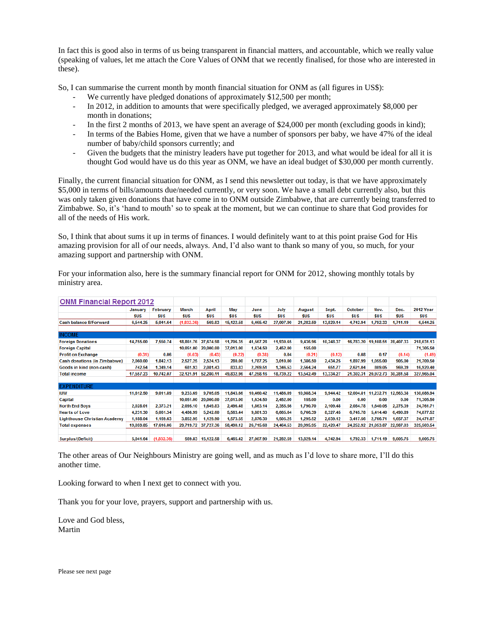In fact this is good also in terms of us being transparent in financial matters, and accountable, which we really value (speaking of values, let me attach the Core Values of ONM that we recently finalised, for those who are interested in these).

So, I can summarise the current month by month financial situation for ONM as (all figures in US\$):

- We currently have pledged donations of approximately \$12,500 per month;
- In 2012, in addition to amounts that were specifically pledged, we averaged approximately \$8,000 per month in donations;
- In the first 2 months of 2013, we have spent an average of \$24,000 per month (excluding goods in kind);
- In terms of the Babies Home, given that we have a number of sponsors per baby, we have 47% of the ideal number of baby/child sponsors currently; and
- Given the budgets that the ministry leaders have put together for 2013, and what would be ideal for all it is thought God would have us do this year as ONM, we have an ideal budget of \$30,000 per month currently.

Finally, the current financial situation for ONM, as I send this newsletter out today, is that we have approximately \$5,000 in terms of bills/amounts due/needed currently, or very soon. We have a small debt currently also, but this was only taken given donations that have come in to ONM outside Zimbabwe, that are currently being transferred to Zimbabwe. So, it's 'hand to mouth' so to speak at the moment, but we can continue to share that God provides for all of the needs of His work.

So, I think that about sums it up in terms of finances. I would definitely want to at this point praise God for His amazing provision for all of our needs, always. And, I'd also want to thank so many of you, so much, for your amazing support and partnership with ONM.

For your information also, here is the summary financial report for ONM for 2012, showing monthly totals by ministry area.

| <b>ONM Financial Report 2012</b>    |            |            |              |            |            |            |            |            |           |            |                     |            |                  |
|-------------------------------------|------------|------------|--------------|------------|------------|------------|------------|------------|-----------|------------|---------------------|------------|------------------|
|                                     | January    | February   | <b>March</b> | April      | May        | June       | July       | August     | Sept.     | October    | Nov.                | Dec.       | <b>2012 Year</b> |
|                                     | <b>SUS</b> | <b>SUS</b> | SUS          | <b>SUS</b> | <b>SUS</b> | <b>SUS</b> | <b>SUS</b> | <b>SUS</b> | SUS       | <b>SUS</b> | <b>SUS</b>          | <b>SUS</b> | <b>SUS</b>       |
| <b>Cash balance B/Forward</b>       | 6,544.25   | 5,041.64   | (1,832.36)   | 569.83     | 15,122.58  | 6,465.42   | 27,007.90  | 21.282.59  | 13,829.14 | 4.742.94   | 1,792.33            | 1.711.19   | 6,544.25         |
| <b>INCOME</b>                       |            |            |              |            |            |            |            |            |           |            |                     |            |                  |
| <b>Foreign Donations</b>            | 14,755.00  | 7,550.74   | 18,861.76    | 27.674.98  | 11,706.35  | 41,567.28  | 11,930.65  | 9,436.96   | 10,248.37 | 16,783.20  | 19,108.51           | 28,407.33  | 218,031.13       |
| <b>Foreign Capital</b>              |            |            | 10,051.00    | 20,000.00  | 37,013.00  | 1,634.50   | 2,452.00   | 155.00     |           |            |                     |            | 71,305.50        |
| <b>Profit on Exchange</b>           | (0.31)     | 0.06       | (0.03)       | (0.43)     | (0.22)     | (0.38)     | 0.04       | (0.21)     | (0.12)    | 0.08       | 0.17                | (0.14)     | (1.49)           |
| <b>Cash donations (in Zimbabwe)</b> | 2,060.00   | 1.842.13   | 2,527.25     | 2.524.13   | 280.00     | 1,787.25   | 3,010.00   | 1,386.50   | 2,434.25  | 1,897.99   | 1.055.00            | 905.00     | 21,709.50        |
| Goods in kind (non-cash)            | 742.54     | 1,349.14   | 681.93       | 2,081.43   | 833.83     | 2,269.51   | 1,346.53   | 2,564.24   | 651.77    | 2,621.04   | 809.05              | 969.39     | 16,920.40        |
| <b>Total income</b>                 | 17,557.23  | 10,742.07  | 32,121.91    | 52,280.11  | 49,832.96  | 47,258.16  | 18,739.22  | 13,542.49  | 13,334.27 | 21,302.31  | 20.972.73           | 30,281.58  | 327,965.04       |
| <b>EXPENDITURE</b>                  |            |            |              |            |            |            |            |            |           |            |                     |            |                  |
| <b>IUW</b>                          | 11,612.50  | 9,011.89   | 9,233.69     | 9,705.05   | 11,843.66  | 10,460.42  | 11,486.09  | 10,988.34  | 9,944.42  |            | 12,004.81 11,232.71 | 12,563.38  | 130,086.94       |
| Capital                             |            |            | 10,051.00    | 20,000.00  | 37,013.00  | 1,634.50   | 2,452.00   | 155.00     | 0.00      | 0.00       | 0.00                | 0.00       | 71,305.50        |
| <b>North End Boys</b>               | 2.028.01   | 2.373.21   | 2.095.10     | 1,649.83   | 2.496.48   | 1,863.14   | 2.355.56   | 1.790.70   | 2.109.48  | 2,084.78   | 1.640.05            | 2.275.39   | 24,761.71        |
| <b>Hearts of Love</b>               | 4,231.30   | 5,061.34   | 4,486.99     | 5,242.60   | 5,563.44   | 9,881.33   | 6,665.64   | 6,766.39   | 8,327.45  | 6,745.78   | 5.414.40            | 6,490.89   | 74,877.52        |
| <b>Lighthouse Christian Academy</b> | 1,188.04   | 1.169.63   | 3,852.95     | 1.129.90   | 1,573.55   | 2,876.30   | 1,505.25   | 1,295.52   | 2,039.12  | 3.417.56   | 2.766.71            | 1,657.37   | 24,471.87        |
| <b>Total expenses</b>               | 19,059.85  | 17,616.06  | 29,719.72    | 37,727.36  | 58,490.12  | 26,715.68  | 24,464.53  | 20,995.95  | 22,420.47 | 24,252.92  | 21,053.87           | 22,987.03  | 325,503.54       |
| Surplus/(Deficit)                   | 5.041.64   | (1.832.36) | 569.83       | 15,122.58  | 6,465.42   | 27.007.90  | 21,282.59  | 13,829.14  | 4,742.94  | 1.792.33   | 1,711.19            | 9,005.75   | 9,005.75         |

The other areas of Our Neighbours Ministry are going well, and as much as I'd love to share more, I'll do this another time.

Looking forward to when I next get to connect with you.

Thank you for your love, prayers, support and partnership with us.

Love and God bless, Martin

Please see next page